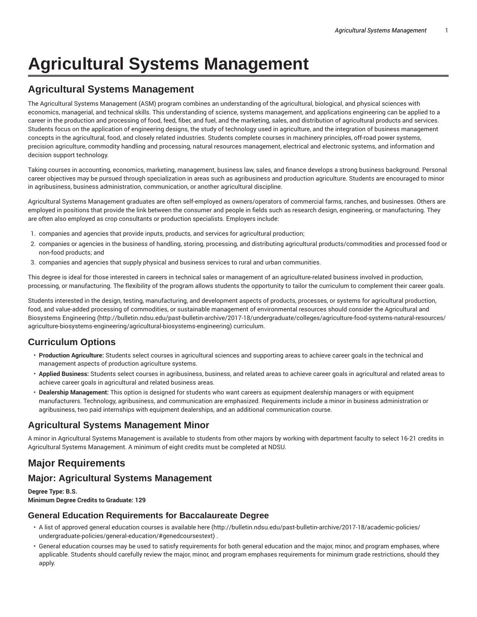# **Agricultural Systems Management**

## **Agricultural Systems Management**

The Agricultural Systems Management (ASM) program combines an understanding of the agricultural, biological, and physical sciences with economics, managerial, and technical skills. This understanding of science, systems management, and applications engineering can be applied to a career in the production and processing of food, feed, fiber, and fuel, and the marketing, sales, and distribution of agricultural products and services. Students focus on the application of engineering designs, the study of technology used in agriculture, and the integration of business management concepts in the agricultural, food, and closely related industries. Students complete courses in machinery principles, off-road power systems, precision agriculture, commodity handling and processing, natural resources management, electrical and electronic systems, and information and decision support technology.

Taking courses in accounting, economics, marketing, management, business law, sales, and finance develops a strong business background. Personal career objectives may be pursued through specialization in areas such as agribusiness and production agriculture. Students are encouraged to minor in agribusiness, business administration, communication, or another agricultural discipline.

Agricultural Systems Management graduates are often self-employed as owners/operators of commercial farms, ranches, and businesses. Others are employed in positions that provide the link between the consumer and people in fields such as research design, engineering, or manufacturing. They are often also employed as crop consultants or production specialists. Employers include:

- 1. companies and agencies that provide inputs, products, and services for agricultural production;
- 2. companies or agencies in the business of handling, storing, processing, and distributing agricultural products/commodities and processed food or non-food products; and
- 3. companies and agencies that supply physical and business services to rural and urban communities.

This degree is ideal for those interested in careers in technical sales or management of an agriculture-related business involved in production, processing, or manufacturing. The flexibility of the program allows students the opportunity to tailor the curriculum to complement their career goals.

Students interested in the design, testing, manufacturing, and development aspects of products, processes, or systems for agricultural production, food, and value-added processing of commodities, or sustainable management of environmental resources should consider the Agricultural and Biosystems Engineering (http://bulletin.ndsu.edu/past-bulletin-archive/2017-18/undergraduate/colleges/agriculture-food-systems-natural-resources/ agriculture-biosystems-engineering/agricultural-biosystems-engineering) curriculum.

## **Curriculum Options**

- **Production Agriculture:** Students select courses in agricultural sciences and supporting areas to achieve career goals in the technical and management aspects of production agriculture systems.
- **Applied Business:** Students select courses in agribusiness, business, and related areas to achieve career goals in agricultural and related areas to achieve career goals in agricultural and related business areas.
- **Dealership Management:** This option is designed for students who want careers as equipment dealership managers or with equipment manufacturers. Technology, agribusiness, and communication are emphasized. Requirements include a minor in business administration or agribusiness, two paid internships with equipment dealerships, and an additional communication course.

## **Agricultural Systems Management Minor**

A minor in Agricultural Systems Management is available to students from other majors by working with department faculty to select 16-21 credits in Agricultural Systems Management. A minimum of eight credits must be completed at NDSU.

## **Major Requirements**

## **Major: Agricultural Systems Management**

**Degree Type: B.S. Minimum Degree Credits to Graduate: 129**

### **General Education Requirements for Baccalaureate Degree**

- A list of approved general education courses is available here (http://bulletin.ndsu.edu/past-bulletin-archive/2017-18/academic-policies/ undergraduate-policies/general-education/#genedcoursestext) .
- General education courses may be used to satisfy requirements for both general education and the major, minor, and program emphases, where applicable. Students should carefully review the major, minor, and program emphases requirements for minimum grade restrictions, should they apply.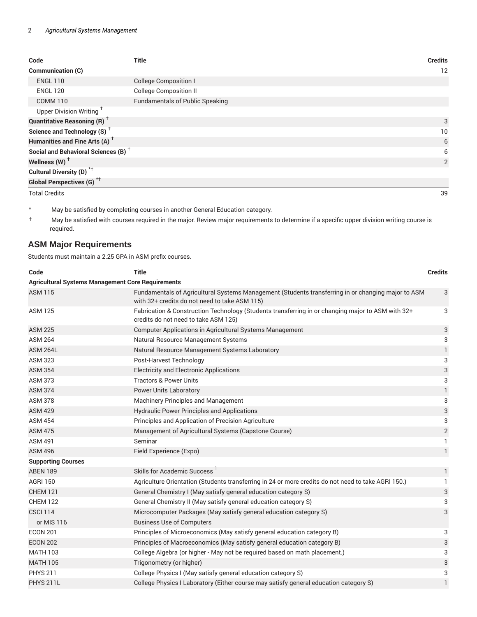| Code                                                 | <b>Title</b>                           | <b>Credits</b> |
|------------------------------------------------------|----------------------------------------|----------------|
| Communication (C)                                    |                                        | 12             |
| <b>ENGL 110</b>                                      | <b>College Composition I</b>           |                |
| <b>ENGL 120</b>                                      | <b>College Composition II</b>          |                |
| <b>COMM 110</b>                                      | <b>Fundamentals of Public Speaking</b> |                |
| Upper Division Writing <sup>+</sup>                  |                                        |                |
| <b>Quantitative Reasoning (R)</b> <sup>†</sup>       |                                        | 3              |
| Science and Technology (S) <sup><math>†</math></sup> |                                        | 10             |
| Humanities and Fine Arts (A) <sup>+</sup>            |                                        | 6              |
| Social and Behavioral Sciences (B) <sup>+</sup>      |                                        | 6              |
| Wellness (W) $^{\dagger}$                            |                                        | 2              |
| Cultural Diversity (D) <sup>*†</sup>                 |                                        |                |
| Global Perspectives (G) <sup>*†</sup>                |                                        |                |
| <b>Total Credits</b>                                 |                                        | 39             |

- \* May be satisfied by completing courses in another General Education category.
- † May be satisfied with courses required in the major. Review major requirements to determine if a specific upper division writing course is required.

## **ASM Major Requirements**

Students must maintain a 2.25 GPA in ASM prefix courses.

| Code                                                     | <b>Title</b>                                                                                                                                        | <b>Credits</b> |
|----------------------------------------------------------|-----------------------------------------------------------------------------------------------------------------------------------------------------|----------------|
| <b>Agricultural Systems Management Core Requirements</b> |                                                                                                                                                     |                |
| <b>ASM 115</b>                                           | Fundamentals of Agricultural Systems Management (Students transferring in or changing major to ASM<br>with 32+ credits do not need to take ASM 115) | 3              |
| <b>ASM 125</b>                                           | Fabrication & Construction Technology (Students transferring in or changing major to ASM with 32+<br>credits do not need to take ASM 125)           | 3              |
| <b>ASM 225</b>                                           | Computer Applications in Agricultural Systems Management                                                                                            | 3              |
| <b>ASM 264</b>                                           | Natural Resource Management Systems                                                                                                                 | 3              |
| <b>ASM 264L</b>                                          | Natural Resource Management Systems Laboratory                                                                                                      | $\mathbf{1}$   |
| <b>ASM 323</b>                                           | Post-Harvest Technology                                                                                                                             | 3              |
| <b>ASM 354</b>                                           | <b>Electricity and Electronic Applications</b>                                                                                                      | 3              |
| <b>ASM 373</b>                                           | <b>Tractors &amp; Power Units</b>                                                                                                                   | 3              |
| <b>ASM 374</b>                                           | <b>Power Units Laboratory</b>                                                                                                                       | $\mathbf{1}$   |
| <b>ASM 378</b>                                           | <b>Machinery Principles and Management</b>                                                                                                          | 3              |
| <b>ASM 429</b>                                           | <b>Hydraulic Power Principles and Applications</b>                                                                                                  | 3              |
| <b>ASM 454</b>                                           | Principles and Application of Precision Agriculture                                                                                                 | 3              |
| <b>ASM 475</b>                                           | Management of Agricultural Systems (Capstone Course)                                                                                                | $\sqrt{2}$     |
| <b>ASM 491</b>                                           | Seminar                                                                                                                                             | $\mathbf{1}$   |
| <b>ASM 496</b>                                           | Field Experience (Expo)                                                                                                                             | $\mathbf{1}$   |
| <b>Supporting Courses</b>                                |                                                                                                                                                     |                |
| <b>ABEN 189</b>                                          | Skills for Academic Success <sup>1</sup>                                                                                                            | $\mathbf{1}$   |
| <b>AGRI 150</b>                                          | Agriculture Orientation (Students transferring in 24 or more credits do not need to take AGRI 150.)                                                 | $\mathbf{1}$   |
| <b>CHEM 121</b>                                          | General Chemistry I (May satisfy general education category S)                                                                                      | 3              |
| <b>CHEM 122</b>                                          | General Chemistry II (May satisfy general education category S)                                                                                     | 3              |
| <b>CSCI 114</b>                                          | Microcomputer Packages (May satisfy general education category S)                                                                                   | 3              |
| or MIS 116                                               | <b>Business Use of Computers</b>                                                                                                                    |                |
| <b>ECON 201</b>                                          | Principles of Microeconomics (May satisfy general education category B)                                                                             | 3              |
| <b>ECON 202</b>                                          | Principles of Macroeconomics (May satisfy general education category B)                                                                             | 3              |
| <b>MATH 103</b>                                          | College Algebra (or higher - May not be required based on math placement.)                                                                          | 3              |
| <b>MATH 105</b>                                          | Trigonometry (or higher)                                                                                                                            | 3              |
| <b>PHYS 211</b>                                          | College Physics I (May satisfy general education category S)                                                                                        | 3              |
| <b>PHYS 211L</b>                                         | College Physics I Laboratory (Either course may satisfy general education category S)                                                               | $\mathbf{1}$   |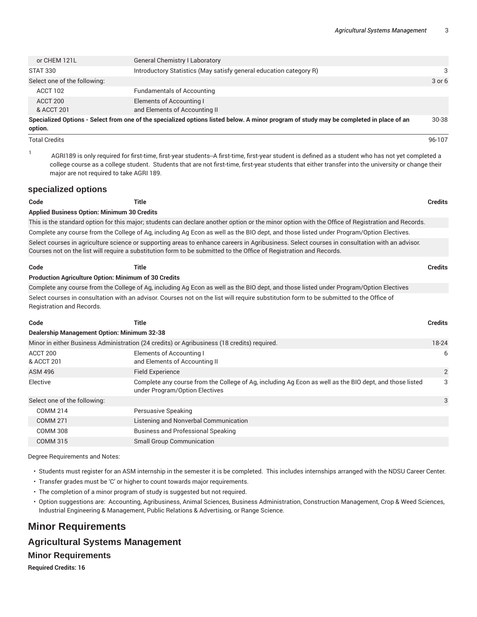| or CHEM 121L                                                                                                                            | <b>General Chemistry I Laboratory</b>                              |            |
|-----------------------------------------------------------------------------------------------------------------------------------------|--------------------------------------------------------------------|------------|
| <b>STAT 330</b>                                                                                                                         | Introductory Statistics (May satisfy general education category R) | 3          |
| Select one of the following:                                                                                                            |                                                                    | $3$ or $6$ |
| ACCT 102                                                                                                                                | <b>Fundamentals of Accounting</b>                                  |            |
| ACCT 200                                                                                                                                | Elements of Accounting I                                           |            |
| & ACCT 201                                                                                                                              | and Elements of Accounting II                                      |            |
| Specialized Options - Select from one of the specialized options listed below. A minor program of study may be completed in place of an |                                                                    |            |

**option.**

1

Total Credits 96-107

AGRI189 is only required for first-time, first-year students--A first-time, first-year student is defined as a student who has not yet completed a college course as a college student. Students that are not first-time, first-year students that either transfer into the university or change their major are not required to take AGRI 189.

#### **specialized options**

**Code Title Credits Applied Business Option: Minimum 30 Credits** This is the standard option for this major; students can declare another option or the minor option with the Office of Registration and Records. Complete any course from the College of Ag, including Ag Econ as well as the BIO dept, and those listed under Program/Option Electives. Select courses in agriculture science or supporting areas to enhance careers in Agribusiness. Select courses in consultation with an advisor. Courses not on the list will require a substitution form to be submitted to the Office of Registration and Records. **Code Title Credits**

#### **Production Agriculture Option: Minimum of 30 Credits**

Complete any course from the College of Ag, including Ag Econ as well as the BIO dept, and those listed under Program/Option Electives Select courses in consultation with an advisor. Courses not on the list will require substitution form to be submitted to the Office of Registration and Records.

| Code                                               | Title                                                                                                                                     | <b>Credits</b> |
|----------------------------------------------------|-------------------------------------------------------------------------------------------------------------------------------------------|----------------|
| <b>Dealership Management Option: Minimum 32-38</b> |                                                                                                                                           |                |
|                                                    | Minor in either Business Administration (24 credits) or Agribusiness (18 credits) required.                                               | 18-24          |
| ACCT 200<br>& ACCT 201                             | Elements of Accounting I<br>and Elements of Accounting II                                                                                 | 6              |
| <b>ASM 496</b>                                     | <b>Field Experience</b>                                                                                                                   | 2              |
| Elective                                           | Complete any course from the College of Ag, including Ag Econ as well as the BIO dept, and those listed<br>under Program/Option Electives | 3              |
| Select one of the following:                       |                                                                                                                                           | 3              |
| <b>COMM 214</b>                                    | Persuasive Speaking                                                                                                                       |                |
| COMM 271                                           | Listening and Nonverbal Communication                                                                                                     |                |
| <b>COMM 308</b>                                    | <b>Business and Professional Speaking</b>                                                                                                 |                |
| <b>COMM 315</b>                                    | <b>Small Group Communication</b>                                                                                                          |                |

Degree Requirements and Notes:

- Students must register for an ASM internship in the semester it is be completed. This includes internships arranged with the NDSU Career Center.
- Transfer grades must be 'C' or higher to count towards major requirements.
- The completion of a minor program of study is suggested but not required.
- Option suggestions are: Accounting, Agribusiness, Animal Sciences, Business Administration, Construction Management, Crop & Weed Sciences, Industrial Engineering & Management, Public Relations & Advertising, or Range Science.

## **Minor Requirements**

### **Agricultural Systems Management**

#### **Minor Requirements**

**Required Credits: 16**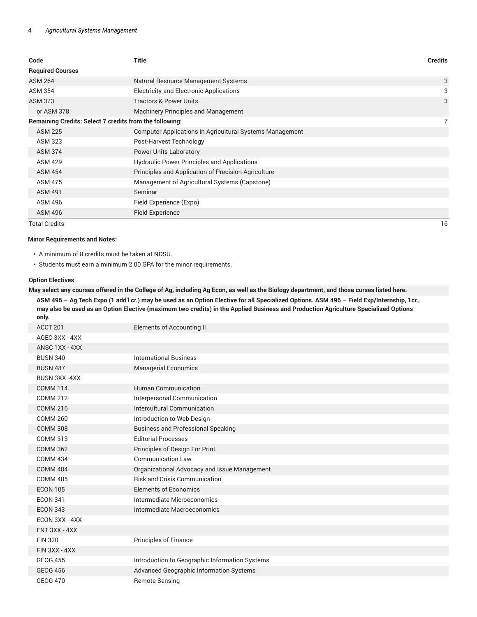| Code                                                           | <b>Title</b>                                             | <b>Credits</b> |
|----------------------------------------------------------------|----------------------------------------------------------|----------------|
| <b>Required Courses</b>                                        |                                                          |                |
| <b>ASM 264</b>                                                 | Natural Resource Management Systems                      | 3              |
| <b>ASM 354</b>                                                 | <b>Electricity and Electronic Applications</b>           | 3              |
| <b>ASM 373</b>                                                 | <b>Tractors &amp; Power Units</b>                        | 3              |
| or ASM 378                                                     | <b>Machinery Principles and Management</b>               |                |
| <b>Remaining Credits: Select 7 credits from the following:</b> |                                                          |                |
| <b>ASM 225</b>                                                 | Computer Applications in Agricultural Systems Management |                |
| <b>ASM 323</b>                                                 | Post-Harvest Technology                                  |                |
| <b>ASM 374</b>                                                 | <b>Power Units Laboratory</b>                            |                |
| <b>ASM 429</b>                                                 | Hydraulic Power Principles and Applications              |                |
| <b>ASM 454</b>                                                 | Principles and Application of Precision Agriculture      |                |
| <b>ASM 475</b>                                                 | Management of Agricultural Systems (Capstone)            |                |
| <b>ASM 491</b>                                                 | Seminar                                                  |                |
| <b>ASM 496</b>                                                 | Field Experience (Expo)                                  |                |
| <b>ASM 496</b>                                                 | <b>Field Experience</b>                                  |                |

Total Credits 16

#### **Minor Requirements and Notes:**

- A minimum of 8 credits must be taken at NDSU.
- Students must earn a minimum 2.00 GPA for the minor requirements.

#### **Option Electives**

May select any courses offered in the College of Ag, including Ag Econ, as well as the Biology department, and those curses listed here.

ASM 496 - Ag Tech Expo (1 add'l cr.) may be used as an Option Elective for all Specialized Options. ASM 496 - Field Exp/Internship, 1cr., may also be used as an Option Elective (maximum two credits) in the Applied Business and Production Agriculture Specialized Options **only.**

| ACCT 201        | <b>Elements of Accounting II</b>               |
|-----------------|------------------------------------------------|
| AGEC 3XX - 4XX  |                                                |
| ANSC 1XX - 4XX  |                                                |
| <b>BUSN 340</b> | <b>International Business</b>                  |
| <b>BUSN 487</b> | <b>Managerial Economics</b>                    |
| BUSN 3XX-4XX    |                                                |
| <b>COMM 114</b> | <b>Human Communication</b>                     |
| <b>COMM 212</b> | Interpersonal Communication                    |
| <b>COMM 216</b> | Intercultural Communication                    |
| <b>COMM 260</b> | Introduction to Web Design                     |
| <b>COMM 308</b> | <b>Business and Professional Speaking</b>      |
| <b>COMM 313</b> | <b>Editorial Processes</b>                     |
| <b>COMM 362</b> | Principles of Design For Print                 |
| <b>COMM 434</b> | <b>Communication Law</b>                       |
| <b>COMM 484</b> | Organizational Advocacy and Issue Management   |
| <b>COMM 485</b> | <b>Risk and Crisis Communication</b>           |
| <b>ECON 105</b> | <b>Elements of Economics</b>                   |
| <b>ECON 341</b> | Intermediate Microeconomics                    |
| <b>ECON 343</b> | Intermediate Macroeconomics                    |
| ECON 3XX - 4XX  |                                                |
| ENT 3XX - 4XX   |                                                |
| <b>FIN 320</b>  | <b>Principles of Finance</b>                   |
| FIN 3XX - 4XX   |                                                |
| <b>GEOG 455</b> | Introduction to Geographic Information Systems |
| <b>GEOG 456</b> | Advanced Geographic Information Systems        |
| <b>GEOG 470</b> | <b>Remote Sensing</b>                          |
|                 |                                                |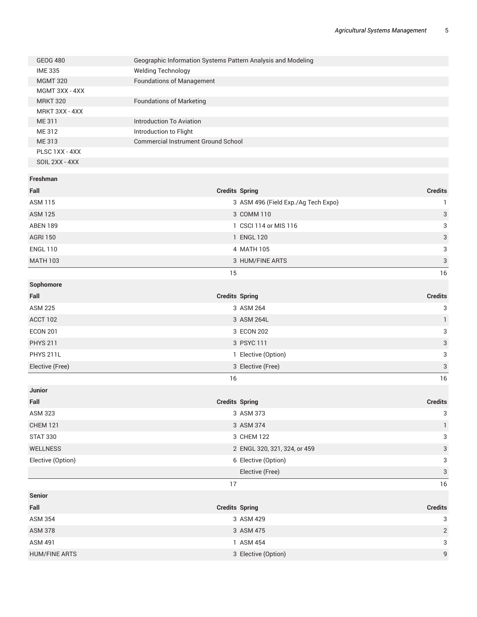|                   | Geographic Information Systems Pattern Analysis and Modeling |                                     |                           |
|-------------------|--------------------------------------------------------------|-------------------------------------|---------------------------|
| <b>IME 335</b>    | <b>Welding Technology</b>                                    |                                     |                           |
| <b>MGMT 320</b>   | <b>Foundations of Management</b>                             |                                     |                           |
| MGMT 3XX - 4XX    |                                                              |                                     |                           |
| <b>MRKT 320</b>   | <b>Foundations of Marketing</b>                              |                                     |                           |
| MRKT 3XX - 4XX    |                                                              |                                     |                           |
| ME 311            | <b>Introduction To Aviation</b>                              |                                     |                           |
| ME 312            | Introduction to Flight                                       |                                     |                           |
| ME 313            | <b>Commercial Instrument Ground School</b>                   |                                     |                           |
| PLSC 1XX - 4XX    |                                                              |                                     |                           |
| SOIL 2XX - 4XX    |                                                              |                                     |                           |
| Freshman          |                                                              |                                     |                           |
| Fall              | <b>Credits Spring</b>                                        |                                     | <b>Credits</b>            |
| <b>ASM 115</b>    |                                                              | 3 ASM 496 (Field Exp./Ag Tech Expo) | 1                         |
| <b>ASM 125</b>    |                                                              | 3 COMM 110                          | $\ensuremath{\mathsf{3}}$ |
| <b>ABEN 189</b>   |                                                              | 1 CSCI 114 or MIS 116               | 3                         |
| <b>AGRI 150</b>   |                                                              | 1 ENGL 120                          | 3                         |
| <b>ENGL 110</b>   |                                                              | 4 MATH 105                          | 3                         |
| <b>MATH 103</b>   |                                                              | 3 HUM/FINE ARTS                     | $\ensuremath{\mathsf{3}}$ |
|                   | 15                                                           |                                     | 16                        |
| Sophomore         |                                                              |                                     |                           |
| Fall              | <b>Credits Spring</b>                                        |                                     | <b>Credits</b>            |
| <b>ASM 225</b>    |                                                              | 3 ASM 264                           | 3                         |
| ACCT 102          |                                                              | 3 ASM 264L                          | $\mathbf{1}$              |
|                   |                                                              |                                     |                           |
| <b>ECON 201</b>   |                                                              | 3 ECON 202                          | 3                         |
| <b>PHYS 211</b>   |                                                              | 3 PSYC 111                          | 3                         |
| PHYS 211L         |                                                              | 1 Elective (Option)                 | 3                         |
| Elective (Free)   |                                                              | 3 Elective (Free)                   | 3                         |
|                   | 16                                                           |                                     | 16                        |
| Junior            |                                                              |                                     |                           |
| Fall              | <b>Credits Spring</b>                                        |                                     | <b>Credits</b>            |
| <b>ASM 323</b>    |                                                              | 3 ASM 373                           | 3                         |
| <b>CHEM 121</b>   |                                                              | 3 ASM 374                           | $\mathbf{1}$              |
| <b>STAT 330</b>   |                                                              | 3 CHEM 122                          | 3                         |
| WELLNESS          |                                                              | 2 ENGL 320, 321, 324, or 459        | 3                         |
| Elective (Option) |                                                              | 6 Elective (Option)                 | 3                         |
|                   |                                                              | Elective (Free)                     | $\ensuremath{\mathsf{3}}$ |
|                   | 17                                                           |                                     | 16                        |
| <b>Senior</b>     |                                                              |                                     |                           |
| Fall              | <b>Credits Spring</b>                                        |                                     | <b>Credits</b>            |
| <b>ASM 354</b>    |                                                              | 3 ASM 429                           | 3                         |
| <b>ASM 378</b>    |                                                              | 3 ASM 475                           | $\overline{c}$            |
| <b>ASM 491</b>    |                                                              | 1 ASM 454                           | 3                         |